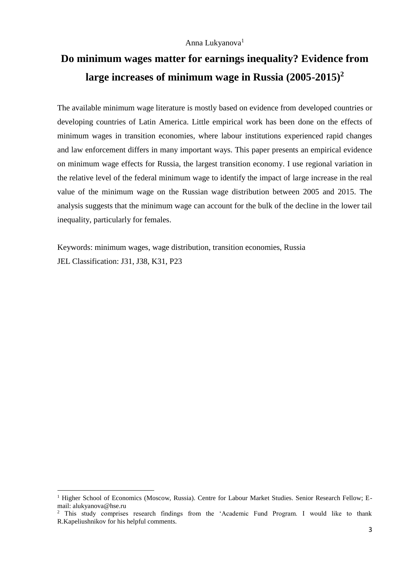#### Anna Lukyanova<sup>1</sup>

# **Do minimum wages matter for earnings inequality? Evidence from large increases of minimum wage in Russia (2005-2015) 2**

The available minimum wage literature is mostly based on evidence from developed countries or developing countries of Latin America. Little empirical work has been done on the effects of minimum wages in transition economies, where labour institutions experienced rapid changes and law enforcement differs in many important ways. This paper presents an empirical evidence on minimum wage effects for Russia, the largest transition economy. I use regional variation in the relative level of the federal minimum wage to identify the impact of large increase in the real value of the minimum wage on the Russian wage distribution between 2005 and 2015. The analysis suggests that the minimum wage can account for the bulk of the decline in the lower tail inequality, particularly for females.

Keywords: minimum wages, wage distribution, transition economies, Russia JEL Classification: J31, J38, K31, P23

**.** 

<sup>&</sup>lt;sup>1</sup> Higher School of Economics (Moscow, Russia). Centre for Labour Market Studies. Senior Research Fellow; Email: alukyanova@hse.ru

<sup>&</sup>lt;sup>2</sup> This study comprises research findings from the 'Academic Fund Program. I would like to thank R.Kapeliushnikov for his helpful comments.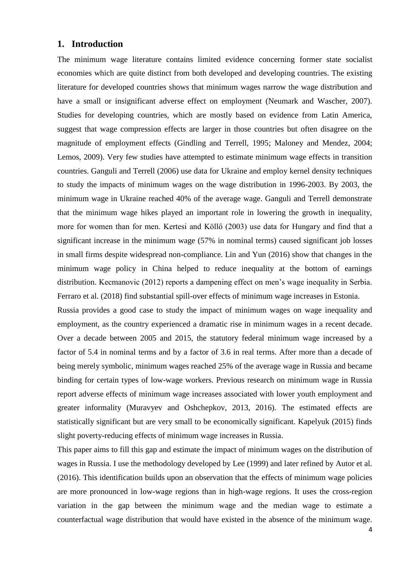#### **1. Introduction**

The minimum wage literature contains limited evidence concerning former state socialist economies which are quite distinct from both developed and developing countries. The existing literature for developed countries shows that minimum wages narrow the wage distribution and have a small or insignificant adverse effect on employment (Neumark and Wascher, 2007). Studies for developing countries, which are mostly based on evidence from Latin America, suggest that wage compression effects are larger in those countries but often disagree on the magnitude of employment effects (Gindling and Terrell, 1995; Maloney and Mendez, 2004; Lemos, 2009). Very few studies have attempted to estimate minimum wage effects in transition countries. Ganguli and Terrell (2006) use data for Ukraine and employ kernel density techniques to study the impacts of minimum wages on the wage distribution in 1996-2003. By 2003, the minimum wage in Ukraine reached 40% of the average wage. Ganguli and Terrell demonstrate that the minimum wage hikes played an important role in lowering the growth in inequality, more for women than for men. Kertesi and Köllő (2003) use data for Hungary and find that a significant increase in the minimum wage (57% in nominal terms) caused significant job losses in small firms despite widespread non-compliance. Lin and Yun (2016) show that changes in the minimum wage policy in China helped to reduce inequality at the bottom of earnings distribution. Kecmanovic (2012) reports a dampening effect on men's wage inequality in Serbia. Ferraro et al. (2018) find substantial spill-over effects of minimum wage increases in Estonia.

Russia provides a good case to study the impact of minimum wages on wage inequality and employment, as the country experienced a dramatic rise in minimum wages in a recent decade. Over a decade between 2005 and 2015, the statutory federal minimum wage increased by a factor of 5.4 in nominal terms and by a factor of 3.6 in real terms. After more than a decade of being merely symbolic, minimum wages reached 25% of the average wage in Russia and became binding for certain types of low-wage workers. Previous research on minimum wage in Russia report adverse effects of minimum wage increases associated with lower youth employment and greater informality (Muravyev and Oshchepkov, 2013, 2016). The estimated effects are statistically significant but are very small to be economically significant. Kapelyuk (2015) finds slight poverty-reducing effects of minimum wage increases in Russia.

This paper aims to fill this gap and estimate the impact of minimum wages on the distribution of wages in Russia. I use the methodology developed by Lee (1999) and later refined by Autor et al. (2016). This identification builds upon an observation that the effects of minimum wage policies are more pronounced in low-wage regions than in high-wage regions. It uses the cross-region variation in the gap between the minimum wage and the median wage to estimate a counterfactual wage distribution that would have existed in the absence of the minimum wage.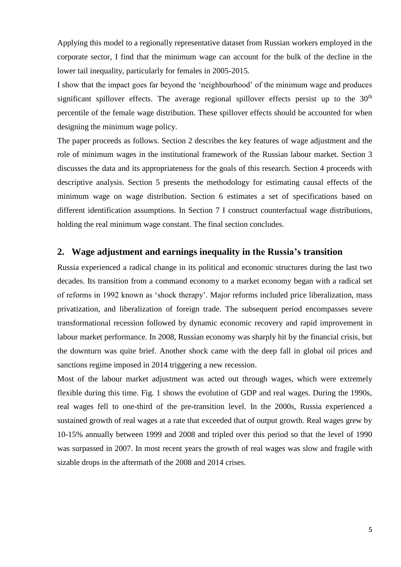Applying this model to a regionally representative dataset from Russian workers employed in the corporate sector, I find that the minimum wage can account for the bulk of the decline in the lower tail inequality, particularly for females in 2005-2015.

I show that the impact goes far beyond the 'neighbourhood' of the minimum wage and produces significant spillover effects. The average regional spillover effects persist up to the  $30<sup>th</sup>$ percentile of the female wage distribution. These spillover effects should be accounted for when designing the minimum wage policy.

The paper proceeds as follows. Section 2 describes the key features of wage adjustment and the role of minimum wages in the institutional framework of the Russian labour market. Section 3 discusses the data and its appropriateness for the goals of this research. Section 4 proceeds with descriptive analysis. Section 5 presents the methodology for estimating causal effects of the minimum wage on wage distribution. Section 6 estimates a set of specifications based on different identification assumptions. In Section 7 I construct counterfactual wage distributions, holding the real minimum wage constant. The final section concludes.

#### **2. Wage adjustment and earnings inequality in the Russia's transition**

Russia experienced a radical change in its political and economic structures during the last two decades. Its transition from a command economy to a market economy began with a radical set of reforms in 1992 known as 'shock therapy'. Major reforms included price liberalization, mass privatization, and liberalization of foreign trade. The subsequent period encompasses severe transformational recession followed by dynamic economic recovery and rapid improvement in labour market performance. In 2008, Russian economy was sharply hit by the financial crisis, but the downturn was quite brief. Another shock came with the deep fall in global oil prices and sanctions regime imposed in 2014 triggering a new recession.

Most of the labour market adjustment was acted out through wages, which were extremely flexible during this time. Fig. 1 shows the evolution of GDP and real wages. During the 1990s, real wages fell to one-third of the pre-transition level. In the 2000s, Russia experienced a sustained growth of real wages at a rate that exceeded that of output growth. Real wages grew by 10-15% annually between 1999 and 2008 and tripled over this period so that the level of 1990 was surpassed in 2007. In most recent years the growth of real wages was slow and fragile with sizable drops in the aftermath of the 2008 and 2014 crises.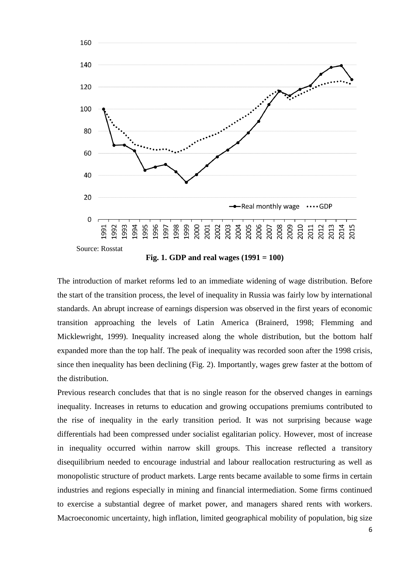

**Fig. 1. GDP and real wages (1991 = 100)**

The introduction of market reforms led to an immediate widening of wage distribution. Before the start of the transition process, the level of inequality in Russia was fairly low by international standards. An abrupt increase of earnings dispersion was observed in the first years of economic transition approaching the levels of Latin America (Brainerd, 1998; Flemming and Micklewright, 1999). Inequality increased along the whole distribution, but the bottom half expanded more than the top half. The peak of inequality was recorded soon after the 1998 crisis, since then inequality has been declining (Fig. 2). Importantly, wages grew faster at the bottom of the distribution.

Previous research concludes that that is no single reason for the observed changes in earnings inequality. Increases in returns to education and growing occupations premiums contributed to the rise of inequality in the early transition period. It was not surprising because wage differentials had been compressed under socialist egalitarian policy. However, most of increase in inequality occurred within narrow skill groups. This increase reflected a transitory disequilibrium needed to encourage industrial and labour reallocation restructuring as well as monopolistic structure of product markets. Large rents became available to some firms in certain industries and regions especially in mining and financial intermediation. Some firms continued to exercise a substantial degree of market power, and managers shared rents with workers. Macroeconomic uncertainty, high inflation, limited geographical mobility of population, big size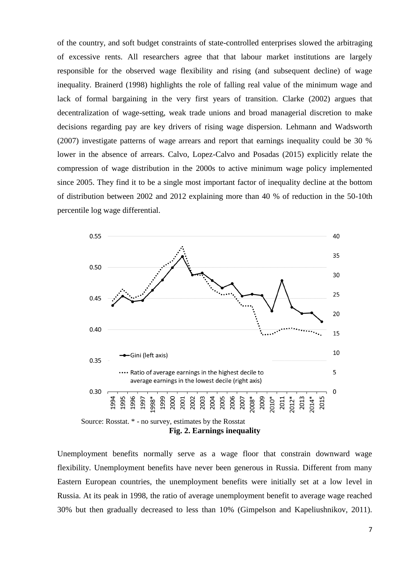of the country, and soft budget constraints of state-controlled enterprises slowed the arbitraging of excessive rents. All researchers agree that that labour market institutions are largely responsible for the observed wage flexibility and rising (and subsequent decline) of wage inequality. Brainerd (1998) highlights the role of falling real value of the minimum wage and lack of formal bargaining in the very first years of transition. Clarke (2002) argues that decentralization of wage-setting, weak trade unions and broad managerial discretion to make decisions regarding pay are key drivers of rising wage dispersion. Lehmann and Wadsworth (2007) investigate patterns of wage arrears and report that earnings inequality could be 30 % lower in the absence of arrears. Calvo, Lopez-Calvo and Posadas (2015) explicitly relate the compression of wage distribution in the 2000s to active minimum wage policy implemented since 2005. They find it to be a single most important factor of inequality decline at the bottom of distribution between 2002 and 2012 explaining more than 40 % of reduction in the 50-10th percentile log wage differential.



Unemployment benefits normally serve as a wage floor that constrain downward wage flexibility. Unemployment benefits have never been generous in Russia. Different from many Eastern European countries, the unemployment benefits were initially set at a low level in Russia. At its peak in 1998, the ratio of average unemployment benefit to average wage reached 30% but then gradually decreased to less than 10% (Gimpelson and Kapeliushnikov, 2011).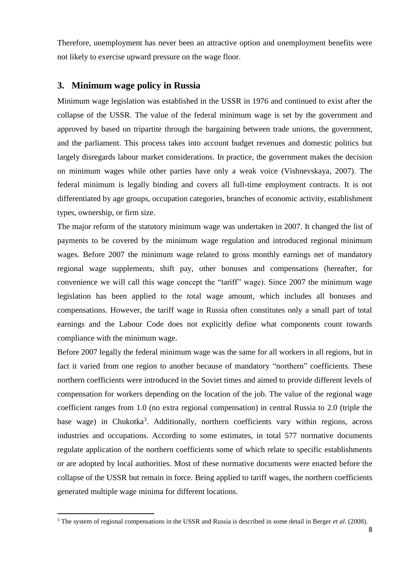Therefore, unemployment has never been an attractive option and unemployment benefits were not likely to exercise upward pressure on the wage floor.

#### **3. Minimum wage policy in Russia**

**.** 

Minimum wage legislation was established in the USSR in 1976 and continued to exist after the collapse of the USSR. The value of the federal minimum wage is set by the government and approved by based on tripartite through the bargaining between trade unions, the government, and the parliament. This process takes into account budget revenues and domestic politics but largely disregards labour market considerations. In practice, the government makes the decision on minimum wages while other parties have only a weak voice (Vishnevskaya, 2007). The federal minimum is legally binding and covers all full-time employment contracts. It is not differentiated by age groups, occupation categories, branches of economic activity, establishment types, ownership, or firm size.

The major reform of the statutory minimum wage was undertaken in 2007. It changed the list of payments to be covered by the minimum wage regulation and introduced regional minimum wages. Before 2007 the minimum wage related to gross monthly earnings net of mandatory regional wage supplements, shift pay, other bonuses and compensations (hereafter, for convenience we will call this wage concept the "tariff" wage). Since 2007 the minimum wage legislation has been applied to the total wage amount, which includes all bonuses and compensations. However, the tariff wage in Russia often constitutes only a small part of total earnings and the Labour Code does not explicitly define what components count towards compliance with the minimum wage.

Before 2007 legally the federal minimum wage was the same for all workers in all regions, but in fact it varied from one region to another because of mandatory "northern" coefficients. These northern coefficients were introduced in the Soviet times and aimed to provide different levels of compensation for workers depending on the location of the job. The value of the regional wage coefficient ranges from 1.0 (no extra regional compensation) in central Russia to 2.0 (triple the base wage) in Chukotka<sup>3</sup>. Additionally, northern coefficients vary within regions, across industries and occupations. According to some estimates, in total 577 normative documents regulate application of the northern coefficients some of which relate to specific establishments or are adopted by local authorities. Most of these normative documents were enacted before the collapse of the USSR but remain in force. Being applied to tariff wages, the northern coefficients generated multiple wage minima for different locations.

<sup>3</sup> The system of regional compensations in the USSR and Russia is described in some detail in Berger *et al*. (2008).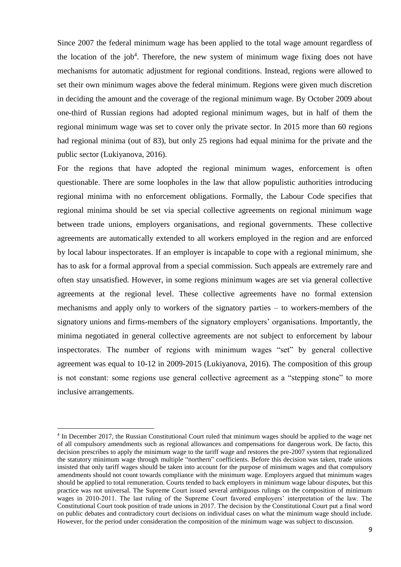Since 2007 the federal minimum wage has been applied to the total wage amount regardless of the location of the job<sup>4</sup>. Therefore, the new system of minimum wage fixing does not have mechanisms for automatic adjustment for regional conditions. Instead, regions were allowed to set their own minimum wages above the federal minimum. Regions were given much discretion in deciding the amount and the coverage of the regional minimum wage. By October 2009 about one-third of Russian regions had adopted regional minimum wages, but in half of them the regional minimum wage was set to cover only the private sector. In 2015 more than 60 regions had regional minima (out of 83), but only 25 regions had equal minima for the private and the public sector (Lukiyanova, 2016).

For the regions that have adopted the regional minimum wages, enforcement is often questionable. There are some loopholes in the law that allow populistic authorities introducing regional minima with no enforcement obligations. Formally, the Labour Code specifies that regional minima should be set via special collective agreements on regional minimum wage between trade unions, employers organisations, and regional governments. These collective agreements are automatically extended to all workers employed in the region and are enforced by local labour inspectorates. If an employer is incapable to cope with a regional minimum, she has to ask for a formal approval from a special commission. Such appeals are extremely rare and often stay unsatisfied. However, in some regions minimum wages are set via general collective agreements at the regional level. These collective agreements have no formal extension mechanisms and apply only to workers of the signatory parties – to workers-members of the signatory unions and firms-members of the signatory employers' organisations. Importantly, the minima negotiated in general collective agreements are not subject to enforcement by labour inspectorates. The number of regions with minimum wages "set" by general collective agreement was equal to 10-12 in 2009-2015 (Lukiyanova, 2016). The composition of this group is not constant: some regions use general collective agreement as a "stepping stone" to more inclusive arrangements.

 $\overline{a}$ 

<sup>&</sup>lt;sup>4</sup> In December 2017, the Russian Constitutional Court ruled that minimum wages should be applied to the wage net of all compulsory amendments such as regional allowances and compensations for dangerous work. De facto, this decision prescribes to apply the minimum wage to the tariff wage and restores the pre-2007 system that regionalized the statutory minimum wage through multiple "northern" coefficients. Before this decision was taken, trade unions insisted that only tariff wages should be taken into account for the purpose of minimum wages and that compulsory amendments should not count towards compliance with the minimum wage. Employers argued that minimum wages should be applied to total remuneration. Courts tended to back employers in minimum wage labour disputes, but this practice was not universal. The Supreme Court issued several ambiguous rulings on the composition of minimum wages in 2010-2011. The last ruling of the Supreme Court favored employers' interpretation of the law. The Constitutional Court took position of trade unions in 2017. The decision by the Constitutional Court put a final word on public debates and contradictory court decisions on individual cases on what the minimum wage should include. However, for the period under consideration the composition of the minimum wage was subject to discussion.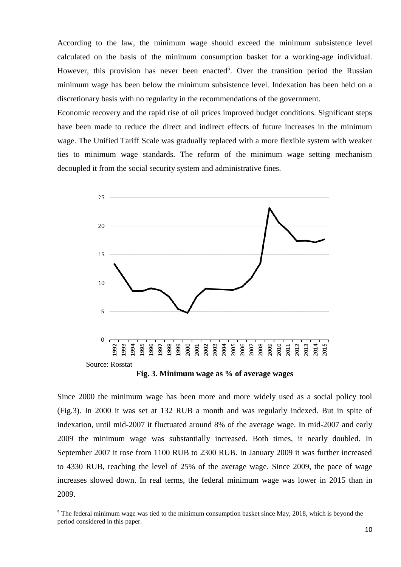According to the law, the minimum wage should exceed the minimum subsistence level calculated on the basis of the minimum consumption basket for a working-age individual. However, this provision has never been enacted<sup>5</sup>. Over the transition period the Russian minimum wage has been below the minimum subsistence level. Indexation has been held on a discretionary basis with no regularity in the recommendations of the government.

Economic recovery and the rapid rise of oil prices improved budget conditions. Significant steps have been made to reduce the direct and indirect effects of future increases in the minimum wage. The Unified Tariff Scale was gradually replaced with a more flexible system with weaker ties to minimum wage standards. The reform of the minimum wage setting mechanism decoupled it from the social security system and administrative fines.



**Fig. 3. Minimum wage as % of average wages**

Since 2000 the minimum wage has been more and more widely used as a social policy tool (Fig.3). In 2000 it was set at 132 RUB a month and was regularly indexed. But in spite of indexation, until mid-2007 it fluctuated around 8% of the average wage. In mid-2007 and early 2009 the minimum wage was substantially increased. Both times, it nearly doubled. In September 2007 it rose from 1100 RUB to 2300 RUB. In January 2009 it was further increased to 4330 RUB, reaching the level of 25% of the average wage. Since 2009, the pace of wage increases slowed down. In real terms, the federal minimum wage was lower in 2015 than in 2009.

1

 $<sup>5</sup>$  The federal minimum wage was tied to the minimum consumption basket since May, 2018, which is beyond the</sup> period considered in this paper.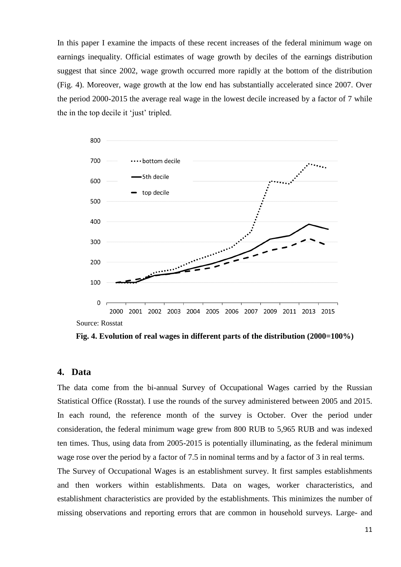In this paper I examine the impacts of these recent increases of the federal minimum wage on earnings inequality. Official estimates of wage growth by deciles of the earnings distribution suggest that since 2002, wage growth occurred more rapidly at the bottom of the distribution (Fig. 4). Moreover, wage growth at the low end has substantially accelerated since 2007. Over the period 2000-2015 the average real wage in the lowest decile increased by a factor of 7 while the in the top decile it 'just' tripled.



**Fig. 4. Evolution of real wages in different parts of the distribution (2000=100%)**

#### **4. Data**

The data come from the bi-annual Survey of Occupational Wages carried by the Russian Statistical Office (Rosstat). I use the rounds of the survey administered between 2005 and 2015. In each round, the reference month of the survey is October. Over the period under consideration, the federal minimum wage grew from 800 RUB to 5,965 RUB and was indexed ten times. Thus, using data from 2005-2015 is potentially illuminating, as the federal minimum wage rose over the period by a factor of 7.5 in nominal terms and by a factor of 3 in real terms.

The Survey of Occupational Wages is an establishment survey. It first samples establishments and then workers within establishments. Data on wages, worker characteristics, and establishment characteristics are provided by the establishments. This minimizes the number of missing observations and reporting errors that are common in household surveys. Large- and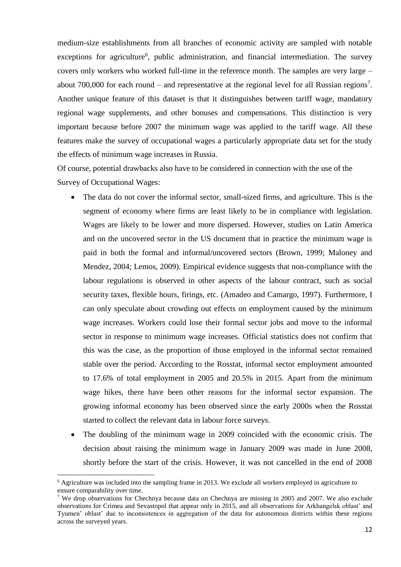medium-size establishments from all branches of economic activity are sampled with notable exceptions for agriculture<sup>6</sup>, public administration, and financial intermediation. The survey covers only workers who worked full-time in the reference month. The samples are very large – about 700,000 for each round – and representative at the regional level for all Russian regions<sup>7</sup>. Another unique feature of this dataset is that it distinguishes between tariff wage, mandatory regional wage supplements, and other bonuses and compensations. This distinction is very important because before 2007 the minimum wage was applied to the tariff wage. All these features make the survey of occupational wages a particularly appropriate data set for the study the effects of minimum wage increases in Russia.

Of course, potential drawbacks also have to be considered in connection with the use of the Survey of Occupational Wages:

- The data do not cover the informal sector, small-sized firms, and agriculture. This is the segment of economy where firms are least likely to be in compliance with legislation. Wages are likely to be lower and more dispersed. However, studies on Latin America and on the uncovered sector in the US document that in practice the minimum wage is paid in both the formal and informal/uncovered sectors (Brown, 1999; Maloney and Mendez, 2004; Lemos, 2009). Empirical evidence suggests that non-compliance with the labour regulations is observed in other aspects of the labour contract, such as social security taxes, flexible hours, firings, etc. (Amadeo and Camargo, 1997). Furthermore, I can only speculate about crowding out effects on employment caused by the minimum wage increases. Workers could lose their formal sector jobs and move to the informal sector in response to minimum wage increases. Official statistics does not confirm that this was the case, as the proportion of those employed in the informal sector remained stable over the period. According to the Rosstat, informal sector employment amounted to 17.6% of total employment in 2005 and 20.5% in 2015. Apart from the minimum wage hikes, there have been other reasons for the informal sector expansion. The growing informal economy has been observed since the early 2000s when the Rosstat started to collect the relevant data in labour force surveys.
- The doubling of the minimum wage in 2009 coincided with the economic crisis. The decision about raising the minimum wage in January 2009 was made in June 2008, shortly before the start of the crisis. However, it was not cancelled in the end of 2008

 $\overline{a}$ 

<sup>&</sup>lt;sup>6</sup> Agriculture was included into the sampling frame in 2013. We exclude all workers employed in agriculture to ensure comparability over time.

<sup>7</sup> We drop observations for Chechnya because data on Chechnya are missing in 2005 and 2007. We also exclude observations for Crimea and Sevastopol that appear only in 2015, and all observations for Arkhangelsk oblast' and Tyumen' oblast' due to inconsistences in aggregation of the data for autonomous districts within these regions across the surveyed years.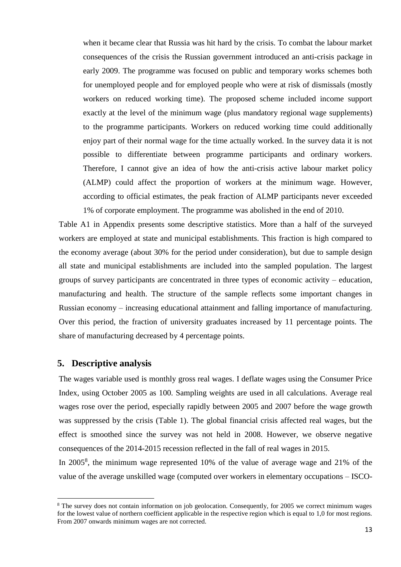when it became clear that Russia was hit hard by the crisis. To combat the labour market consequences of the crisis the Russian government introduced an anti-crisis package in early 2009. The programme was focused on public and temporary works schemes both for unemployed people and for employed people who were at risk of dismissals (mostly workers on reduced working time). The proposed scheme included income support exactly at the level of the minimum wage (plus mandatory regional wage supplements) to the programme participants. Workers on reduced working time could additionally enjoy part of their normal wage for the time actually worked. In the survey data it is not possible to differentiate between programme participants and ordinary workers. Therefore, I cannot give an idea of how the anti-crisis active labour market policy (ALMP) could affect the proportion of workers at the minimum wage. However, according to official estimates, the peak fraction of ALMP participants never exceeded 1% of corporate employment. The programme was abolished in the end of 2010.

Table A1 in Appendix presents some descriptive statistics. More than a half of the surveyed workers are employed at state and municipal establishments. This fraction is high compared to the economy average (about 30% for the period under consideration), but due to sample design all state and municipal establishments are included into the sampled population. The largest groups of survey participants are concentrated in three types of economic activity – education, manufacturing and health. The structure of the sample reflects some important changes in Russian economy – increasing educational attainment and falling importance of manufacturing. Over this period, the fraction of university graduates increased by 11 percentage points. The share of manufacturing decreased by 4 percentage points.

#### **5. Descriptive analysis**

**.** 

The wages variable used is monthly gross real wages. I deflate wages using the Consumer Price Index, using October 2005 as 100. Sampling weights are used in all calculations. Average real wages rose over the period, especially rapidly between 2005 and 2007 before the wage growth was suppressed by the crisis (Table 1). The global financial crisis affected real wages, but the effect is smoothed since the survey was not held in 2008. However, we observe negative consequences of the 2014-2015 recession reflected in the fall of real wages in 2015.

In 2005<sup>8</sup>, the minimum wage represented 10% of the value of average wage and 21% of the value of the average unskilled wage (computed over workers in elementary occupations – ISCO-

<sup>&</sup>lt;sup>8</sup> The survey does not contain information on job geolocation. Consequently, for 2005 we correct minimum wages for the lowest value of northern coefficient applicable in the respective region which is equal to 1,0 for most regions. From 2007 onwards minimum wages are not corrected.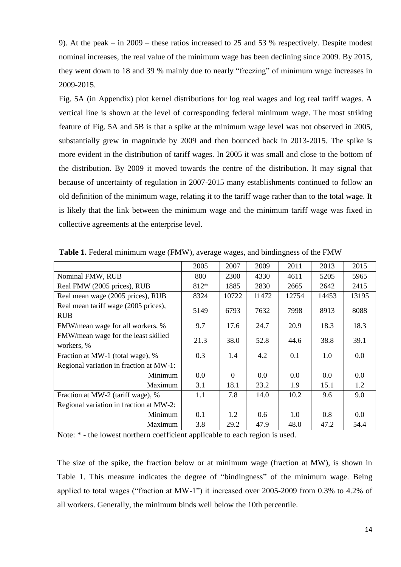9). At the peak – in 2009 – these ratios increased to 25 and 53 % respectively. Despite modest nominal increases, the real value of the minimum wage has been declining since 2009. By 2015, they went down to 18 and 39 % mainly due to nearly "freezing" of minimum wage increases in 2009-2015.

Fig. 5A (in Appendix) plot kernel distributions for log real wages and log real tariff wages. A vertical line is shown at the level of corresponding federal minimum wage. The most striking feature of Fig. 5A and 5B is that a spike at the minimum wage level was not observed in 2005, substantially grew in magnitude by 2009 and then bounced back in 2013-2015. The spike is more evident in the distribution of tariff wages. In 2005 it was small and close to the bottom of the distribution. By 2009 it moved towards the centre of the distribution. It may signal that because of uncertainty of regulation in 2007-2015 many establishments continued to follow an old definition of the minimum wage, relating it to the tariff wage rather than to the total wage. It is likely that the link between the minimum wage and the minimum tariff wage was fixed in collective agreements at the enterprise level.

|                                         | 2005 | 2007     | 2009          | 2011  | 2013  | 2015  |
|-----------------------------------------|------|----------|---------------|-------|-------|-------|
| Nominal FMW, RUB                        | 800  | 2300     | 4330          | 4611  | 5205  | 5965  |
| Real FMW (2005 prices), RUB             | 812* | 1885     | 2830          | 2665  | 2642  | 2415  |
| Real mean wage (2005 prices), RUB       | 8324 | 10722    | 11472         | 12754 | 14453 | 13195 |
| Real mean tariff wage (2005 prices),    | 5149 | 6793     | 7632          | 7998  | 8913  | 8088  |
| <b>RUB</b>                              |      |          |               |       |       |       |
| FMW/mean wage for all workers, %        | 9.7  | 17.6     | 24.7          | 20.9  | 18.3  | 18.3  |
| FMW/mean wage for the least skilled     | 21.3 | 38.0     | 52.8          | 44.6  | 38.8  | 39.1  |
| workers, %                              |      |          |               |       |       |       |
| Fraction at MW-1 (total wage), %        | 0.3  | 1.4      | 4.2           | 0.1   | 1.0   | 0.0   |
| Regional variation in fraction at MW-1: |      |          |               |       |       |       |
| Minimum                                 | 0.0  | $\Omega$ | 0.0           | 0.0   | 0.0   | 0.0   |
| Maximum                                 | 3.1  | 18.1     | 23.2          | 1.9   | 15.1  | 1.2   |
| Fraction at MW-2 (tariff wage), %       | 1.1  | 7.8      | 14.0          | 10.2  | 9.6   | 9.0   |
| Regional variation in fraction at MW-2: |      |          |               |       |       |       |
| Minimum                                 | 0.1  | 1.2      | $0.6^{\circ}$ | 1.0   | 0.8   | 0.0   |
| Maximum                                 | 3.8  | 29.2     | 47.9          | 48.0  | 47.2  | 54.4  |

**Table 1.** Federal minimum wage (FMW), average wages, and bindingness of the FMW

Note: \* - the lowest northern coefficient applicable to each region is used.

The size of the spike, the fraction below or at minimum wage (fraction at MW), is shown in Table 1. This measure indicates the degree of "bindingness" of the minimum wage. Being applied to total wages ("fraction at MW-1") it increased over 2005-2009 from 0.3% to 4.2% of all workers. Generally, the minimum binds well below the 10th percentile.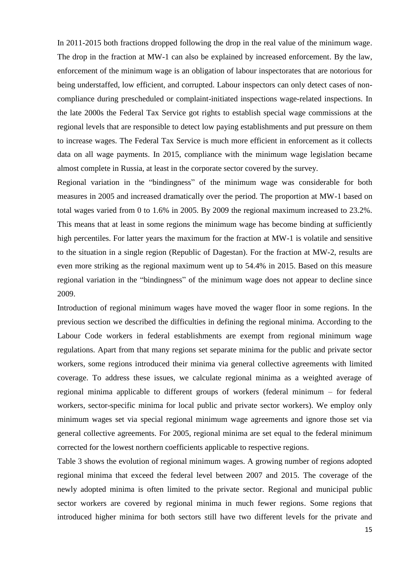In 2011-2015 both fractions dropped following the drop in the real value of the minimum wage. The drop in the fraction at MW-1 can also be explained by increased enforcement. By the law, enforcement of the minimum wage is an obligation of labour inspectorates that are notorious for being understaffed, low efficient, and corrupted. Labour inspectors can only detect cases of noncompliance during prescheduled or complaint-initiated inspections wage-related inspections. In the late 2000s the Federal Tax Service got rights to establish special wage commissions at the regional levels that are responsible to detect low paying establishments and put pressure on them to increase wages. The Federal Tax Service is much more efficient in enforcement as it collects data on all wage payments. In 2015, compliance with the minimum wage legislation became almost complete in Russia, at least in the corporate sector covered by the survey.

Regional variation in the "bindingness" of the minimum wage was considerable for both measures in 2005 and increased dramatically over the period. The proportion at MW-1 based on total wages varied from 0 to 1.6% in 2005. By 2009 the regional maximum increased to 23.2%. This means that at least in some regions the minimum wage has become binding at sufficiently high percentiles. For latter years the maximum for the fraction at MW-1 is volatile and sensitive to the situation in a single region (Republic of Dagestan). For the fraction at MW-2, results are even more striking as the regional maximum went up to 54.4% in 2015. Based on this measure regional variation in the "bindingness" of the minimum wage does not appear to decline since 2009.

Introduction of regional minimum wages have moved the wager floor in some regions. In the previous section we described the difficulties in defining the regional minima. According to the Labour Code workers in federal establishments are exempt from regional minimum wage regulations. Apart from that many regions set separate minima for the public and private sector workers, some regions introduced their minima via general collective agreements with limited coverage. To address these issues, we calculate regional minima as a weighted average of regional minima applicable to different groups of workers (federal minimum – for federal workers, sector-specific minima for local public and private sector workers). We employ only minimum wages set via special regional minimum wage agreements and ignore those set via general collective agreements. For 2005, regional minima are set equal to the federal minimum corrected for the lowest northern coefficients applicable to respective regions.

Table 3 shows the evolution of regional minimum wages. A growing number of regions adopted regional minima that exceed the federal level between 2007 and 2015. The coverage of the newly adopted minima is often limited to the private sector. Regional and municipal public sector workers are covered by regional minima in much fewer regions. Some regions that introduced higher minima for both sectors still have two different levels for the private and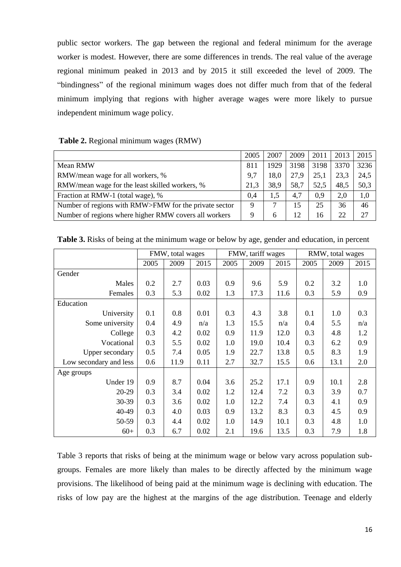public sector workers. The gap between the regional and federal minimum for the average worker is modest. However, there are some differences in trends. The real value of the average regional minimum peaked in 2013 and by 2015 it still exceeded the level of 2009. The "bindingness" of the regional minimum wages does not differ much from that of the federal minimum implying that regions with higher average wages were more likely to pursue independent minimum wage policy.

#### **Table 2.** Regional minimum wages (RMW)

|                                                       | 2005        | 2007 | 2009 | 2011 | 2013 | 2015 |
|-------------------------------------------------------|-------------|------|------|------|------|------|
| Mean RMW                                              | 811         | 1929 | 3198 | 3198 | 3370 | 3236 |
| RMW/mean wage for all workers, %                      | 9,7         | 18,0 | 27,9 | 25,1 | 23,3 | 24,5 |
| RMW/mean wage for the least skilled workers, %        | 21,3        | 38.9 | 58,7 | 52,5 | 48,5 | 50,3 |
| Fraction at RMW-1 (total wage), %                     | 0.4         | 1.5  | 4,7  | 0.9  | 2,0  | 1,0  |
| Number of regions with RMW>FMW for the private sector | $\mathbf Q$ | ⇁    | 15   | 25   | 36   | 46   |
| Number of regions where higher RMW covers all workers | 9           | 6    | 12   | 16   | 22   | 27   |

**Table 3.** Risks of being at the minimum wage or below by age, gender and education, in percent

|                        |      | FMW, total wages |      |      | FMW, tariff wages |      |      | RMW, total wages |      |
|------------------------|------|------------------|------|------|-------------------|------|------|------------------|------|
|                        | 2005 | 2009             | 2015 | 2005 | 2009              | 2015 | 2005 | 2009             | 2015 |
| Gender                 |      |                  |      |      |                   |      |      |                  |      |
| Males                  | 0.2  | 2.7              | 0.03 | 0.9  | 9.6               | 5.9  | 0.2  | 3.2              | 1.0  |
| Females                | 0.3  | 5.3              | 0.02 | 1.3  | 17.3              | 11.6 | 0.3  | 5.9              | 0.9  |
| Education              |      |                  |      |      |                   |      |      |                  |      |
| University             | 0.1  | 0.8              | 0.01 | 0.3  | 4.3               | 3.8  | 0.1  | 1.0              | 0.3  |
| Some university        | 0.4  | 4.9              | n/a  | 1.3  | 15.5              | n/a  | 0.4  | 5.5              | n/a  |
| College                | 0.3  | 4.2              | 0.02 | 0.9  | 11.9              | 12.0 | 0.3  | 4.8              | 1.2  |
| Vocational             | 0.3  | 5.5              | 0.02 | 1.0  | 19.0              | 10.4 | 0.3  | 6.2              | 0.9  |
| Upper secondary        | 0.5  | 7.4              | 0.05 | 1.9  | 22.7              | 13.8 | 0.5  | 8.3              | 1.9  |
| Low secondary and less | 0.6  | 11.9             | 0.11 | 2.7  | 32.7              | 15.5 | 0.6  | 13.1             | 2.0  |
| Age groups             |      |                  |      |      |                   |      |      |                  |      |
| Under 19               | 0.9  | 8.7              | 0.04 | 3.6  | 25.2              | 17.1 | 0.9  | 10.1             | 2.8  |
| 20-29                  | 0.3  | 3.4              | 0.02 | 1.2  | 12.4              | 7.2  | 0.3  | 3.9              | 0.7  |
| 30-39                  | 0.3  | 3.6              | 0.02 | 1.0  | 12.2              | 7.4  | 0.3  | 4.1              | 0.9  |
| 40-49                  | 0.3  | 4.0              | 0.03 | 0.9  | 13.2              | 8.3  | 0.3  | 4.5              | 0.9  |
| 50-59                  | 0.3  | 4.4              | 0.02 | 1.0  | 14.9              | 10.1 | 0.3  | 4.8              | 1.0  |
| $60+$                  | 0.3  | 6.7              | 0.02 | 2.1  | 19.6              | 13.5 | 0.3  | 7.9              | 1.8  |

Table 3 reports that risks of being at the minimum wage or below vary across population subgroups. Females are more likely than males to be directly affected by the minimum wage provisions. The likelihood of being paid at the minimum wage is declining with education. The risks of low pay are the highest at the margins of the age distribution. Teenage and elderly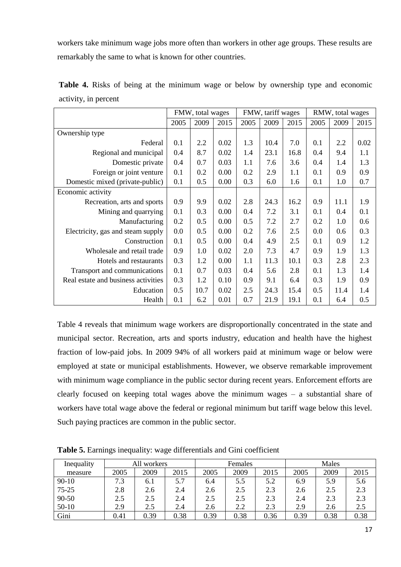workers take minimum wage jobs more often than workers in other age groups. These results are remarkably the same to what is known for other countries.

|                                     |      | FMW, total wages |      |      | FMW, tariff wages |      |      | RMW, total wages |      |
|-------------------------------------|------|------------------|------|------|-------------------|------|------|------------------|------|
|                                     | 2005 | 2009             | 2015 | 2005 | 2009              | 2015 | 2005 | 2009             | 2015 |
| Ownership type                      |      |                  |      |      |                   |      |      |                  |      |
| Federal                             | 0.1  | 2.2              | 0.02 | 1.3  | 10.4              | 7.0  | 0.1  | 2.2              | 0.02 |
| Regional and municipal              | 0.4  | 8.7              | 0.02 | 1.4  | 23.1              | 16.8 | 0.4  | 9.4              | 1.1  |
| Domestic private                    | 0.4  | 0.7              | 0.03 | 1.1  | 7.6               | 3.6  | 0.4  | 1.4              | 1.3  |
| Foreign or joint venture            | 0.1  | 0.2              | 0.00 | 0.2  | 2.9               | 1.1  | 0.1  | 0.9              | 0.9  |
| Domestic mixed (private-public)     | 0.1  | 0.5              | 0.00 | 0.3  | 6.0               | 1.6  | 0.1  | 1.0              | 0.7  |
| Economic activity                   |      |                  |      |      |                   |      |      |                  |      |
| Recreation, arts and sports         | 0.9  | 9.9              | 0.02 | 2.8  | 24.3              | 16.2 | 0.9  | 11.1             | 1.9  |
| Mining and quarrying                | 0.1  | 0.3              | 0.00 | 0.4  | 7.2               | 3.1  | 0.1  | 0.4              | 0.1  |
| Manufacturing                       | 0.2  | 0.5              | 0.00 | 0.5  | 7.2               | 2.7  | 0.2  | 1.0              | 0.6  |
| Electricity, gas and steam supply   | 0.0  | 0.5              | 0.00 | 0.2  | 7.6               | 2.5  | 0.0  | 0.6              | 0.3  |
| Construction                        | 0.1  | 0.5              | 0.00 | 0.4  | 4.9               | 2.5  | 0.1  | 0.9              | 1.2  |
| Wholesale and retail trade          | 0.9  | 1.0              | 0.02 | 2.0  | 7.3               | 4.7  | 0.9  | 1.9              | 1.3  |
| Hotels and restaurants              | 0.3  | 1.2              | 0.00 | 1.1  | 11.3              | 10.1 | 0.3  | 2.8              | 2.3  |
| Transport and communications        | 0.1  | 0.7              | 0.03 | 0.4  | 5.6               | 2.8  | 0.1  | 1.3              | 1.4  |
| Real estate and business activities | 0.3  | 1.2              | 0.10 | 0.9  | 9.1               | 6.4  | 0.3  | 1.9              | 0.9  |
| Education                           | 0.5  | 10.7             | 0.02 | 2.5  | 24.3              | 15.4 | 0.5  | 11.4             | 1.4  |
| Health                              | 0.1  | 6.2              | 0.01 | 0.7  | 21.9              | 19.1 | 0.1  | 6.4              | 0.5  |

**Table 4.** Risks of being at the minimum wage or below by ownership type and economic activity, in percent

Table 4 reveals that minimum wage workers are disproportionally concentrated in the state and municipal sector. Recreation, arts and sports industry, education and health have the highest fraction of low-paid jobs. In 2009 94% of all workers paid at minimum wage or below were employed at state or municipal establishments. However, we observe remarkable improvement with minimum wage compliance in the public sector during recent years. Enforcement efforts are clearly focused on keeping total wages above the minimum wages – a substantial share of workers have total wage above the federal or regional minimum but tariff wage below this level. Such paying practices are common in the public sector.

| Inequality |      | workers |      |      | Females |      |      | Males |      |
|------------|------|---------|------|------|---------|------|------|-------|------|
| measure    | 2005 | 2009    | 2015 | 2005 | 2009    | 2015 | 2005 | 2009  | 2015 |
| $90 - 10$  | 7.3  | 6.1     | 5.7  | 6.4  | 5.5     | 5.2  | 6.9  | 5.9   | 5.6  |
| $75 - 25$  | 2.8  | 2.6     | 2.4  | 2.6  | 2.5     | 2.3  | 2.6  | 2.5   | 2.3  |
| 90-50      | 2.5  | 2.5     | 2.4  | 2.5  | 2.5     | 2.3  | 2.4  | 2.3   | 2.3  |
| $50-10$    | 2.9  | 2.5     | 2.4  | 2.6  | 2.2     | 2.3  | 2.9  | 2.6   | 2.5  |
| Gini       | 0.41 | 0.39    | 0.38 | 0.39 | 0.38    | 0.36 | 0.39 | 0.38  | 0.38 |

**Table 5.** Earnings inequality: wage differentials and Gini coefficient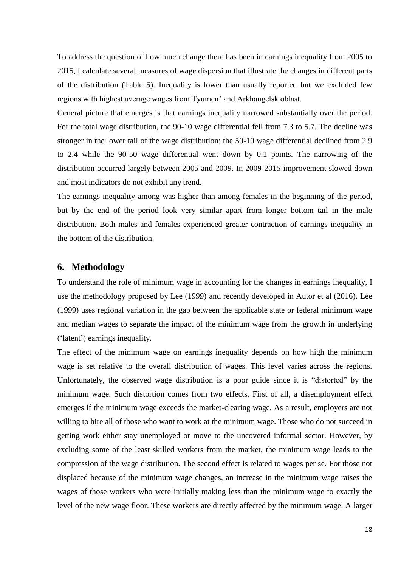To address the question of how much change there has been in earnings inequality from 2005 to 2015, I calculate several measures of wage dispersion that illustrate the changes in different parts of the distribution (Table 5). Inequality is lower than usually reported but we excluded few regions with highest average wages from Tyumen' and Arkhangelsk oblast.

General picture that emerges is that earnings inequality narrowed substantially over the period. For the total wage distribution, the 90-10 wage differential fell from 7.3 to 5.7. The decline was stronger in the lower tail of the wage distribution: the 50-10 wage differential declined from 2.9 to 2.4 while the 90-50 wage differential went down by 0.1 points. The narrowing of the distribution occurred largely between 2005 and 2009. In 2009-2015 improvement slowed down and most indicators do not exhibit any trend.

The earnings inequality among was higher than among females in the beginning of the period, but by the end of the period look very similar apart from longer bottom tail in the male distribution. Both males and females experienced greater contraction of earnings inequality in the bottom of the distribution.

#### **6. Methodology**

To understand the role of minimum wage in accounting for the changes in earnings inequality, I use the methodology proposed by Lee (1999) and recently developed in Autor et al (2016). Lee (1999) uses regional variation in the gap between the applicable state or federal minimum wage and median wages to separate the impact of the minimum wage from the growth in underlying ('latent') earnings inequality.

The effect of the minimum wage on earnings inequality depends on how high the minimum wage is set relative to the overall distribution of wages. This level varies across the regions. Unfortunately, the observed wage distribution is a poor guide since it is "distorted" by the minimum wage. Such distortion comes from two effects. First of all, a disemployment effect emerges if the minimum wage exceeds the market-clearing wage. As a result, employers are not willing to hire all of those who want to work at the minimum wage. Those who do not succeed in getting work either stay unemployed or move to the uncovered informal sector. However, by excluding some of the least skilled workers from the market, the minimum wage leads to the compression of the wage distribution. The second effect is related to wages per se. For those not displaced because of the minimum wage changes, an increase in the minimum wage raises the wages of those workers who were initially making less than the minimum wage to exactly the level of the new wage floor. These workers are directly affected by the minimum wage. A larger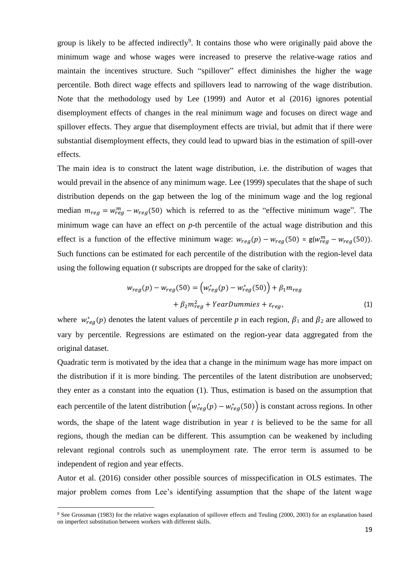group is likely to be affected indirectly<sup>9</sup>. It contains those who were originally paid above the minimum wage and whose wages were increased to preserve the relative-wage ratios and maintain the incentives structure. Such "spillover" effect diminishes the higher the wage percentile. Both direct wage effects and spillovers lead to narrowing of the wage distribution. Note that the methodology used by Lee (1999) and Autor et al (2016) ignores potential disemployment effects of changes in the real minimum wage and focuses on direct wage and spillover effects. They argue that disemployment effects are trivial, but admit that if there were substantial disemployment effects, they could lead to upward bias in the estimation of spill-over effects.

The main idea is to construct the latent wage distribution, i.e. the distribution of wages that would prevail in the absence of any minimum wage. Lee (1999) speculates that the shape of such distribution depends on the gap between the log of the minimum wage and the log regional median  $m_{reg} = w_{reg}^m - w_{reg}$  (50) which is referred to as the "effective minimum wage". The minimum wage can have an effect on *p*-th percentile of the actual wage distribution and this effect is a function of the effective minimum wage:  $w_{reg}(p) - w_{reg}(50) = g(w_{reg}^m - w_{reg}(50))$ . Such functions can be estimated for each percentile of the distribution with the region-level data using the following equation (*t* subscripts are dropped for the sake of clarity):

$$
w_{reg}(p) - w_{reg}(50) = (w_{reg}^{*}(p) - w_{reg}^{*}(50)) + \beta_{1} m_{reg}
$$

$$
+ \beta_{2} m_{reg}^{2} + YearDummies + \varepsilon_{reg}, \qquad (1)
$$

where  $w_{reg}^*(p)$  denotes the latent values of percentile p in each region,  $\beta_1$  and  $\beta_2$  are allowed to vary by percentile. Regressions are estimated on the region-year data aggregated from the original dataset.

Quadratic term is motivated by the idea that a change in the minimum wage has more impact on the distribution if it is more binding. The percentiles of the latent distribution are unobserved; they enter as a constant into the equation (1). Thus, estimation is based on the assumption that each percentile of the latent distribution  $(w_{reg}^*(p) - w_{reg}^*(50))$  is constant across regions. In other words, the shape of the latent wage distribution in year *t* is believed to be the same for all regions, though the median can be different. This assumption can be weakened by including relevant regional controls such as unemployment rate. The error term is assumed to be independent of region and year effects.

Autor et al. (2016) consider other possible sources of misspecification in OLS estimates. The major problem comes from Lee's identifying assumption that the shape of the latent wage

 $\overline{a}$ 

<sup>9</sup> See Grossman (1983) for the relative wages explanation of spillover effects and Teuling (2000, 2003) for an explanation based on imperfect substitution between workers with different skills.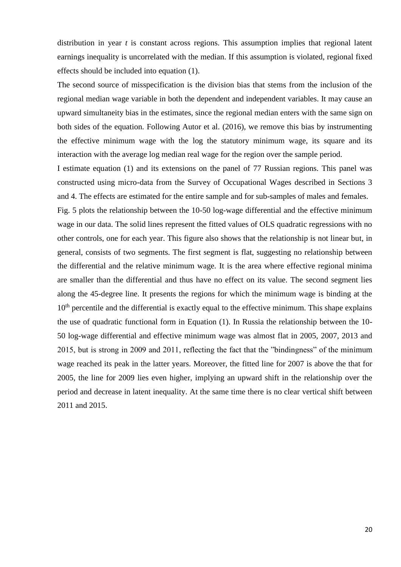distribution in year *t* is constant across regions. This assumption implies that regional latent earnings inequality is uncorrelated with the median. If this assumption is violated, regional fixed effects should be included into equation (1).

The second source of misspecification is the division bias that stems from the inclusion of the regional median wage variable in both the dependent and independent variables. It may cause an upward simultaneity bias in the estimates, since the regional median enters with the same sign on both sides of the equation. Following Autor et al. (2016), we remove this bias by instrumenting the effective minimum wage with the log the statutory minimum wage, its square and its interaction with the average log median real wage for the region over the sample period.

I estimate equation (1) and its extensions on the panel of 77 Russian regions. This panel was constructed using micro-data from the Survey of Occupational Wages described in Sections 3 and 4. The effects are estimated for the entire sample and for sub-samples of males and females.

Fig. 5 plots the relationship between the 10-50 log-wage differential and the effective minimum wage in our data. The solid lines represent the fitted values of OLS quadratic regressions with no other controls, one for each year. This figure also shows that the relationship is not linear but, in general, consists of two segments. The first segment is flat, suggesting no relationship between the differential and the relative minimum wage. It is the area where effective regional minima are smaller than the differential and thus have no effect on its value. The second segment lies along the 45-degree line. It presents the regions for which the minimum wage is binding at the  $10<sup>th</sup>$  percentile and the differential is exactly equal to the effective minimum. This shape explains the use of quadratic functional form in Equation (1). In Russia the relationship between the 10- 50 log-wage differential and effective minimum wage was almost flat in 2005, 2007, 2013 and 2015, but is strong in 2009 and 2011, reflecting the fact that the "bindingness" of the minimum wage reached its peak in the latter years. Moreover, the fitted line for 2007 is above the that for 2005, the line for 2009 lies even higher, implying an upward shift in the relationship over the period and decrease in latent inequality. At the same time there is no clear vertical shift between 2011 and 2015.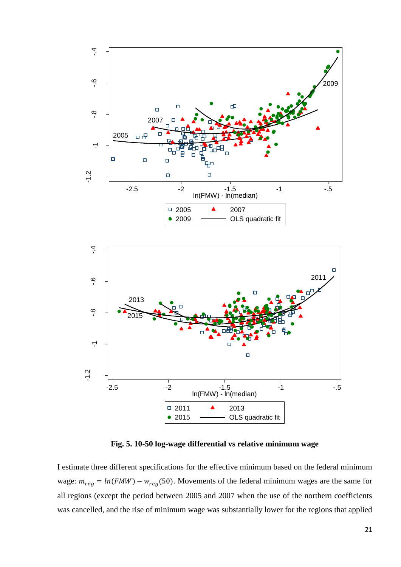

**Fig. 5. 10-50 log-wage differential vs relative minimum wage**

 $\Box$  2011 **4** 2013

 $-2.5$  -2  $-1.5$  -1  $-5$ ln(FMW) - ln(median)

 $\Box$ 

• 2015 ——— OLS quadratic fit

-1.2

I estimate three different specifications for the effective minimum based on the federal minimum wage:  $m_{reg} = ln(FMW) - w_{reg}(50)$ . Movements of the federal minimum wages are the same for all regions (except the period between 2005 and 2007 when the use of the northern coefficients was cancelled, and the rise of minimum wage was substantially lower for the regions that applied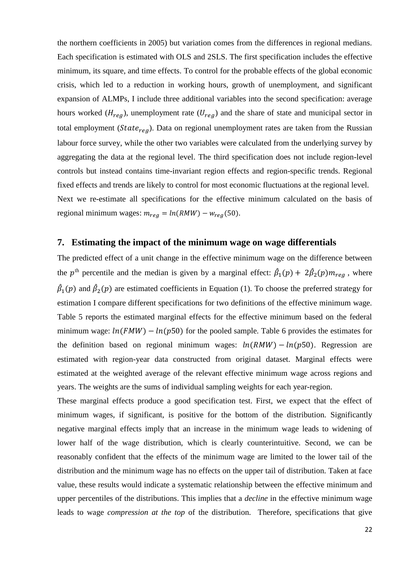the northern coefficients in 2005) but variation comes from the differences in regional medians. Each specification is estimated with OLS and 2SLS. The first specification includes the effective minimum, its square, and time effects. To control for the probable effects of the global economic crisis, which led to a reduction in working hours, growth of unemployment, and significant expansion of ALMPs, I include three additional variables into the second specification: average hours worked ( $H_{req}$ ), unemployment rate ( $U_{req}$ ) and the share of state and municipal sector in total employment ( $State_{req}$ ). Data on regional unemployment rates are taken from the Russian labour force survey, while the other two variables were calculated from the underlying survey by aggregating the data at the regional level. The third specification does not include region-level controls but instead contains time-invariant region effects and region-specific trends. Regional fixed effects and trends are likely to control for most economic fluctuations at the regional level. Next we re-estimate all specifications for the effective minimum calculated on the basis of regional minimum wages:  $m_{reg} = ln(RMW) - w_{reg}(50)$ .

#### **7. Estimating the impact of the minimum wage on wage differentials**

The predicted effect of a unit change in the effective minimum wage on the difference between the p<sup>th</sup> percentile and the median is given by a marginal effect:  $\hat{\beta}_1(p) + 2\hat{\beta}_2(p)m_{reg}$ , where  $\hat{\beta}_1(p)$  and  $\hat{\beta}_2(p)$  are estimated coefficients in Equation (1). To choose the preferred strategy for estimation I compare different specifications for two definitions of the effective minimum wage. Table 5 reports the estimated marginal effects for the effective minimum based on the federal minimum wage:  $ln(FMW) - ln(p50)$  for the pooled sample. Table 6 provides the estimates for the definition based on regional minimum wages:  $ln(RMW) - ln(p50)$ . Regression are estimated with region-year data constructed from original dataset. Marginal effects were estimated at the weighted average of the relevant effective minimum wage across regions and years. The weights are the sums of individual sampling weights for each year-region.

These marginal effects produce a good specification test. First, we expect that the effect of minimum wages, if significant, is positive for the bottom of the distribution. Significantly negative marginal effects imply that an increase in the minimum wage leads to widening of lower half of the wage distribution, which is clearly counterintuitive. Second, we can be reasonably confident that the effects of the minimum wage are limited to the lower tail of the distribution and the minimum wage has no effects on the upper tail of distribution. Taken at face value, these results would indicate a systematic relationship between the effective minimum and upper percentiles of the distributions. This implies that a *decline* in the effective minimum wage leads to wage *compression at the top* of the distribution. Therefore, specifications that give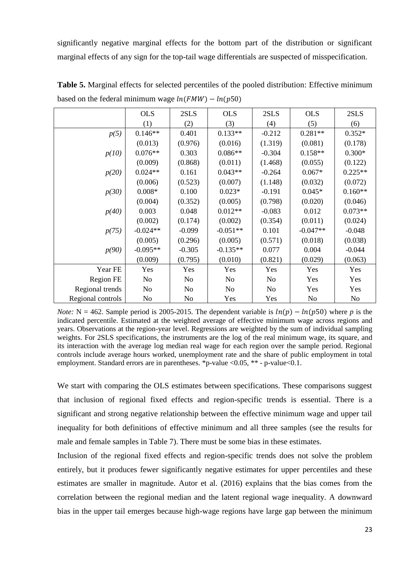significantly negative marginal effects for the bottom part of the distribution or significant marginal effects of any sign for the top-tail wage differentials are suspected of misspecification.

|                   | <b>OLS</b> | 2SLS           | <b>OLS</b> | 2SLS           | <b>OLS</b>     | 2SLS           |
|-------------------|------------|----------------|------------|----------------|----------------|----------------|
|                   | (1)        | (2)            | (3)        | (4)            | (5)            | (6)            |
| p(5)              | $0.146**$  | 0.401          | $0.133**$  | $-0.212$       | $0.281**$      | $0.352*$       |
|                   | (0.013)    | (0.976)        | (0.016)    | (1.319)        | (0.081)        | (0.178)        |
| p(10)             | $0.076**$  | 0.303          | $0.086**$  | $-0.304$       | $0.158**$      | $0.300*$       |
|                   | (0.009)    | (0.868)        | (0.011)    | (1.468)        | (0.055)        | (0.122)        |
| p(20)             | $0.024**$  | 0.161          | $0.043**$  | $-0.264$       | $0.067*$       | $0.225**$      |
|                   | (0.006)    | (0.523)        | (0.007)    | (1.148)        | (0.032)        | (0.072)        |
| p(30)             | $0.008*$   | 0.100          | $0.023*$   | $-0.191$       | $0.045*$       | $0.160**$      |
|                   | (0.004)    | (0.352)        | (0.005)    | (0.798)        | (0.020)        | (0.046)        |
| p(40)             | 0.003      | 0.048          | $0.012**$  | $-0.083$       | 0.012          | $0.073**$      |
|                   | (0.002)    | (0.174)        | (0.002)    | (0.354)        | (0.011)        | (0.024)        |
| p(75)             | $-0.024**$ | $-0.099$       | $-0.051**$ | 0.101          | $-0.047**$     | $-0.048$       |
|                   | (0.005)    | (0.296)        | (0.005)    | (0.571)        | (0.018)        | (0.038)        |
| p(90)             | $-0.095**$ | $-0.305$       | $-0.135**$ | 0.077          | 0.004          | $-0.044$       |
|                   | (0.009)    | (0.795)        | (0.010)    | (0.821)        | (0.029)        | (0.063)        |
| Year FE           | Yes        | Yes            | Yes        | Yes            | Yes            | Yes            |
| Region FE         | No         | No             | No         | No             | Yes            | Yes            |
| Regional trends   | No         | No             | No         | N <sub>o</sub> | Yes            | Yes            |
| Regional controls | No         | N <sub>o</sub> | Yes        | Yes            | N <sub>o</sub> | N <sub>0</sub> |

**Table 5.** Marginal effects for selected percentiles of the pooled distribution: Effective minimum based on the federal minimum wage  $ln(FMW) - ln(p50)$ 

*Note:* N = 462. Sample period is 2005-2015. The dependent variable is  $ln(p) - ln(p50)$  where *p* is the indicated percentile. Estimated at the weighted average of effective minimum wage across regions and years. Observations at the region-year level. Regressions are weighted by the sum of individual sampling weights. For 2SLS specifications, the instruments are the log of the real minimum wage, its square, and its interaction with the average log median real wage for each region over the sample period. Regional controls include average hours worked, unemployment rate and the share of public employment in total employment. Standard errors are in parentheses. \*p-value <0.05, \*\* - p-value <0.1.

We start with comparing the OLS estimates between specifications. These comparisons suggest that inclusion of regional fixed effects and region-specific trends is essential. There is a significant and strong negative relationship between the effective minimum wage and upper tail inequality for both definitions of effective minimum and all three samples (see the results for male and female samples in Table 7). There must be some bias in these estimates.

Inclusion of the regional fixed effects and region-specific trends does not solve the problem entirely, but it produces fewer significantly negative estimates for upper percentiles and these estimates are smaller in magnitude. Autor et al. (2016) explains that the bias comes from the correlation between the regional median and the latent regional wage inequality. A downward bias in the upper tail emerges because high-wage regions have large gap between the minimum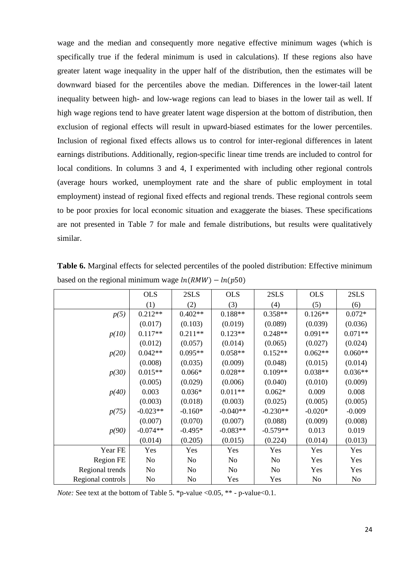wage and the median and consequently more negative effective minimum wages (which is specifically true if the federal minimum is used in calculations). If these regions also have greater latent wage inequality in the upper half of the distribution, then the estimates will be downward biased for the percentiles above the median. Differences in the lower-tail latent inequality between high- and low-wage regions can lead to biases in the lower tail as well. If high wage regions tend to have greater latent wage dispersion at the bottom of distribution, then exclusion of regional effects will result in upward-biased estimates for the lower percentiles. Inclusion of regional fixed effects allows us to control for inter-regional differences in latent earnings distributions. Additionally, region-specific linear time trends are included to control for local conditions. In columns 3 and 4, I experimented with including other regional controls (average hours worked, unemployment rate and the share of public employment in total employment) instead of regional fixed effects and regional trends. These regional controls seem to be poor proxies for local economic situation and exaggerate the biases. These specifications are not presented in Table 7 for male and female distributions, but results were qualitatively similar.

|                   | <b>OLS</b>     | 2SLS      | <b>OLS</b> | 2SLS           | <b>OLS</b>     | 2SLS      |
|-------------------|----------------|-----------|------------|----------------|----------------|-----------|
|                   | (1)            | (2)       | (3)        | (4)            | (5)            | (6)       |
| p(5)              | $0.212**$      | $0.402**$ | $0.188**$  | $0.358**$      | $0.126**$      | $0.072*$  |
|                   | (0.017)        | (0.103)   | (0.019)    | (0.089)        | (0.039)        | (0.036)   |
| p(10)             | $0.117**$      | $0.211**$ | $0.123**$  | $0.248**$      | $0.091**$      | $0.071**$ |
|                   | (0.012)        | (0.057)   | (0.014)    | (0.065)        | (0.027)        | (0.024)   |
| p(20)             | $0.042**$      | $0.095**$ | $0.058**$  | $0.152**$      | $0.062**$      | $0.060**$ |
|                   | (0.008)        | (0.035)   | (0.009)    | (0.048)        | (0.015)        | (0.014)   |
| p(30)             | $0.015**$      | $0.066*$  | $0.028**$  | $0.109**$      | $0.038**$      | $0.036**$ |
|                   | (0.005)        | (0.029)   | (0.006)    | (0.040)        | (0.010)        | (0.009)   |
| p(40)             | 0.003          | $0.036*$  | $0.011**$  | $0.062*$       | 0.009          | 0.008     |
|                   | (0.003)        | (0.018)   | (0.003)    | (0.025)        | (0.005)        | (0.005)   |
| p(75)             | $-0.023**$     | $-0.160*$ | $-0.040**$ | $-0.230**$     | $-0.020*$      | $-0.009$  |
|                   | (0.007)        | (0.070)   | (0.007)    | (0.088)        | (0.009)        | (0.008)   |
| p(90)             | $-0.074**$     | $-0.495*$ | $-0.083**$ | $-0.579**$     | 0.013          | 0.019     |
|                   | (0.014)        | (0.205)   | (0.015)    | (0.224)        | (0.014)        | (0.013)   |
| Year FE           | Yes            | Yes       | Yes        | Yes            | Yes            | Yes       |
| <b>Region FE</b>  | N <sub>0</sub> | No        | No         | No             | Yes            | Yes       |
| Regional trends   | N <sub>0</sub> | No        | No         | N <sub>0</sub> | Yes            | Yes       |
| Regional controls | N <sub>0</sub> | No        | Yes        | Yes            | N <sub>o</sub> | No        |

**Table 6.** Marginal effects for selected percentiles of the pooled distribution: Effective minimum based on the regional minimum wage  $ln(RMW) - ln(p50)$ 

*Note:* See text at the bottom of Table 5. \*p-value < 0.05, \*\* - p-value < 0.1.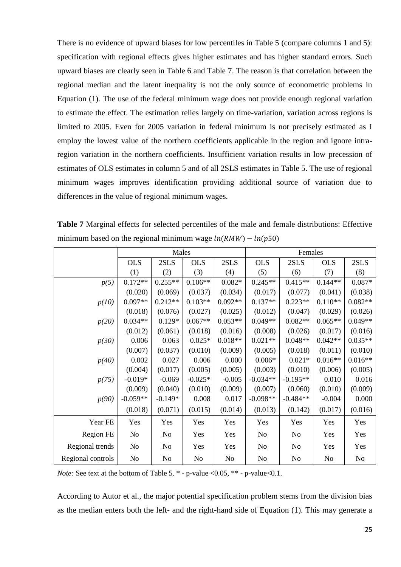There is no evidence of upward biases for low percentiles in Table 5 (compare columns 1 and 5): specification with regional effects gives higher estimates and has higher standard errors. Such upward biases are clearly seen in Table 6 and Table 7. The reason is that correlation between the regional median and the latent inequality is not the only source of econometric problems in Equation (1). The use of the federal minimum wage does not provide enough regional variation to estimate the effect. The estimation relies largely on time-variation, variation across regions is limited to 2005. Even for 2005 variation in federal minimum is not precisely estimated as I employ the lowest value of the northern coefficients applicable in the region and ignore intraregion variation in the northern coefficients. Insufficient variation results in low precession of estimates of OLS estimates in column 5 and of all 2SLS estimates in Table 5. The use of regional minimum wages improves identification providing additional source of variation due to differences in the value of regional minimum wages.

|                   |                | Males          |                |           |                | Females    |            |           |
|-------------------|----------------|----------------|----------------|-----------|----------------|------------|------------|-----------|
|                   | <b>OLS</b>     | 2SLS           | <b>OLS</b>     | 2SLS      | <b>OLS</b>     | 2SLS       | <b>OLS</b> | 2SLS      |
|                   | (1)            | (2)            | (3)            | (4)       | (5)            | (6)        | (7)        | (8)       |
| p(5)              | $0.172**$      | $0.255**$      | $0.106**$      | $0.082*$  | $0.245**$      | $0.415**$  | $0.144**$  | $0.087*$  |
|                   | (0.020)        | (0.069)        | (0.037)        | (0.034)   | (0.017)        | (0.077)    | (0.041)    | (0.038)   |
| p(10)             | $0.097**$      | $0.212**$      | $0.103**$      | $0.092**$ | $0.137**$      | $0.223**$  | $0.110**$  | $0.082**$ |
|                   | (0.018)        | (0.076)        | (0.027)        | (0.025)   | (0.012)        | (0.047)    | (0.029)    | (0.026)   |
| p(20)             | $0.034**$      | $0.129*$       | $0.067**$      | $0.053**$ | $0.049**$      | $0.082**$  | $0.065**$  | $0.049**$ |
|                   | (0.012)        | (0.061)        | (0.018)        | (0.016)   | (0.008)        | (0.026)    | (0.017)    | (0.016)   |
| p(30)             | 0.006          | 0.063          | $0.025*$       | $0.018**$ | $0.021**$      | $0.048**$  | $0.042**$  | $0.035**$ |
|                   | (0.007)        | (0.037)        | (0.010)        | (0.009)   | (0.005)        | (0.018)    | (0.011)    | (0.010)   |
| p(40)             | 0.002          | 0.027          | 0.006          | 0.000     | $0.006*$       | $0.021*$   | $0.016**$  | $0.016**$ |
|                   | (0.004)        | (0.017)        | (0.005)        | (0.005)   | (0.003)        | (0.010)    | (0.006)    | (0.005)   |
| p(75)             | $-0.019*$      | $-0.069$       | $-0.025*$      | $-0.005$  | $-0.034**$     | $-0.195**$ | 0.010      | 0.016     |
|                   | (0.009)        | (0.040)        | (0.010)        | (0.009)   | (0.007)        | (0.060)    | (0.010)    | (0.009)   |
| p(90)             | $-0.059**$     | $-0.149*$      | 0.008          | 0.017     | $-0.098**$     | $-0.484**$ | $-0.004$   | 0.000     |
|                   | (0.018)        | (0.071)        | (0.015)        | (0.014)   | (0.013)        | (0.142)    | (0.017)    | (0.016)   |
| Year FE           | Yes            | Yes            | Yes            | Yes       | Yes            | Yes        | Yes        | Yes       |
| Region FE         | No             | No             | Yes            | Yes       | No             | No         | Yes        | Yes       |
| Regional trends   | N <sub>o</sub> | No             | Yes            | Yes       | No             | No         | Yes        | Yes       |
| Regional controls | No             | N <sub>0</sub> | N <sub>0</sub> | No        | N <sub>0</sub> | No         | No         | No        |

**Table 7** Marginal effects for selected percentiles of the male and female distributions: Effective minimum based on the regional minimum wage  $ln(RMW) - ln(p50)$ 

*Note:* See text at the bottom of Table 5.  $*$  - p-value <0.05,  $**$  - p-value <0.1.

According to Autor et al., the major potential specification problem stems from the division bias as the median enters both the left- and the right-hand side of Equation (1). This may generate a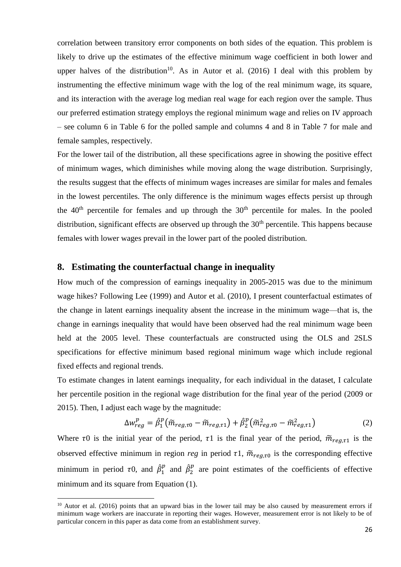correlation between transitory error components on both sides of the equation. This problem is likely to drive up the estimates of the effective minimum wage coefficient in both lower and upper halves of the distribution<sup>10</sup>. As in Autor et al.  $(2016)$  I deal with this problem by instrumenting the effective minimum wage with the log of the real minimum wage, its square, and its interaction with the average log median real wage for each region over the sample. Thus our preferred estimation strategy employs the regional minimum wage and relies on IV approach – see column 6 in Table 6 for the polled sample and columns 4 and 8 in Table 7 for male and female samples, respectively.

For the lower tail of the distribution, all these specifications agree in showing the positive effect of minimum wages, which diminishes while moving along the wage distribution. Surprisingly, the results suggest that the effects of minimum wages increases are similar for males and females in the lowest percentiles. The only difference is the minimum wages effects persist up through the  $40<sup>th</sup>$  percentile for females and up through the  $30<sup>th</sup>$  percentile for males. In the pooled distribution, significant effects are observed up through the  $30<sup>th</sup>$  percentile. This happens because females with lower wages prevail in the lower part of the pooled distribution.

#### **8. Estimating the counterfactual change in inequality**

**.** 

How much of the compression of earnings inequality in 2005-2015 was due to the minimum wage hikes? Following Lee (1999) and Autor et al. (2010), I present counterfactual estimates of the change in latent earnings inequality absent the increase in the minimum wage—that is, the change in earnings inequality that would have been observed had the real minimum wage been held at the 2005 level. These counterfactuals are constructed using the OLS and 2SLS specifications for effective minimum based regional minimum wage which include regional fixed effects and regional trends.

To estimate changes in latent earnings inequality, for each individual in the dataset, I calculate her percentile position in the regional wage distribution for the final year of the period (2009 or 2015). Then, I adjust each wage by the magnitude:

$$
\Delta w_{reg}^p = \hat{\beta}_1^p \left( \tilde{m}_{reg,\tau 0} - \tilde{m}_{reg,\tau 1} \right) + \hat{\beta}_2^p \left( \tilde{m}_{reg,\tau 0}^2 - \tilde{m}_{reg,\tau 1}^2 \right)
$$
(2)

Where  $\tau$ 0 is the initial year of the period,  $\tau$ 1 is the final year of the period,  $\tilde{m}_{\text{real},\tau_1}$  is the observed effective minimum in region *reg* in period  $\tau$ 1,  $\tilde{m}_{\text{reaf}0}$  is the corresponding effective minimum in period  $\tau$ 0, and  $\hat{\beta}_1^p$  $\int_1^p$  and  $\hat{\beta}_2^p$  $\frac{p}{q}$  are point estimates of the coefficients of effective minimum and its square from Equation (1).

 $10$  Autor et al. (2016) points that an upward bias in the lower tail may be also caused by measurement errors if minimum wage workers are inaccurate in reporting their wages. However, measurement error is not likely to be of particular concern in this paper as data come from an establishment survey.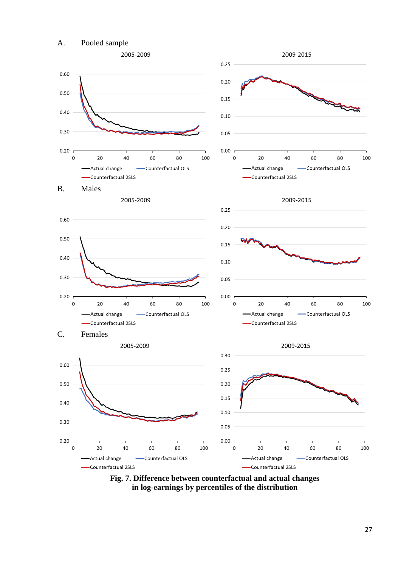

**Fig. 7. Difference between counterfactual and actual changes in log-earnings by percentiles of the distribution**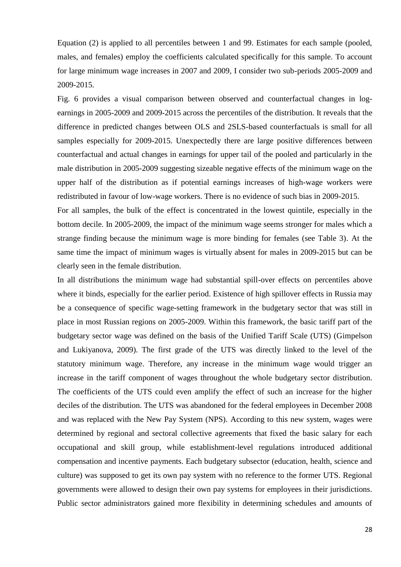Equation (2) is applied to all percentiles between 1 and 99. Estimates for each sample (pooled, males, and females) employ the coefficients calculated specifically for this sample. To account for large minimum wage increases in 2007 and 2009, I consider two sub-periods 2005-2009 and 2009-2015.

Fig. 6 provides a visual comparison between observed and counterfactual changes in logearnings in 2005-2009 and 2009-2015 across the percentiles of the distribution. It reveals that the difference in predicted changes between OLS and 2SLS-based counterfactuals is small for all samples especially for 2009-2015. Unexpectedly there are large positive differences between counterfactual and actual changes in earnings for upper tail of the pooled and particularly in the male distribution in 2005-2009 suggesting sizeable negative effects of the minimum wage on the upper half of the distribution as if potential earnings increases of high-wage workers were redistributed in favour of low-wage workers. There is no evidence of such bias in 2009-2015.

For all samples, the bulk of the effect is concentrated in the lowest quintile, especially in the bottom decile. In 2005-2009, the impact of the minimum wage seems stronger for males which a strange finding because the minimum wage is more binding for females (see Table 3). At the same time the impact of minimum wages is virtually absent for males in 2009-2015 but can be clearly seen in the female distribution.

In all distributions the minimum wage had substantial spill-over effects on percentiles above where it binds, especially for the earlier period. Existence of high spillover effects in Russia may be a consequence of specific wage-setting framework in the budgetary sector that was still in place in most Russian regions on 2005-2009. Within this framework, the basic tariff part of the budgetary sector wage was defined on the basis of the Unified Tariff Scale (UTS) (Gimpelson and Lukiyanova, 2009). The first grade of the UTS was directly linked to the level of the statutory minimum wage. Therefore, any increase in the minimum wage would trigger an increase in the tariff component of wages throughout the whole budgetary sector distribution. The coefficients of the UTS could even amplify the effect of such an increase for the higher deciles of the distribution. The UTS was abandoned for the federal employees in December 2008 and was replaced with the New Pay System (NPS). According to this new system, wages were determined by regional and sectoral collective agreements that fixed the basic salary for each occupational and skill group, while establishment-level regulations introduced additional compensation and incentive payments. Each budgetary subsector (education, health, science and culture) was supposed to get its own pay system with no reference to the former UTS. Regional governments were allowed to design their own pay systems for employees in their jurisdictions. Public sector administrators gained more flexibility in determining schedules and amounts of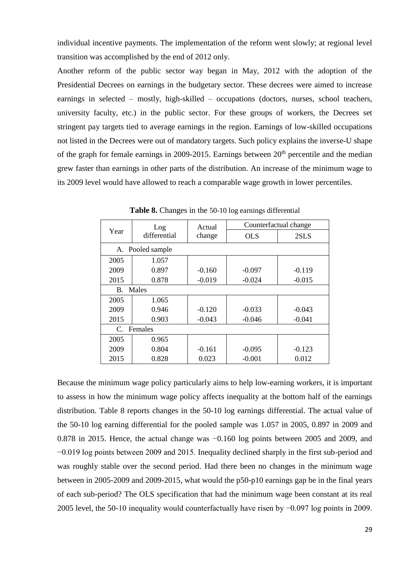individual incentive payments. The implementation of the reform went slowly; at regional level transition was accomplished by the end of 2012 only.

Another reform of the public sector way began in May, 2012 with the adoption of the Presidential Decrees on earnings in the budgetary sector. These decrees were aimed to increase earnings in selected – mostly, high-skilled – occupations (doctors, nurses, school teachers, university faculty, etc.) in the public sector. For these groups of workers, the Decrees set stringent pay targets tied to average earnings in the region. Earnings of low-skilled occupations not listed in the Decrees were out of mandatory targets. Such policy explains the inverse-U shape of the graph for female earnings in 2009-2015. Earnings between  $20<sup>th</sup>$  percentile and the median grew faster than earnings in other parts of the distribution. An increase of the minimum wage to its 2009 level would have allowed to reach a comparable wage growth in lower percentiles.

|                       | Log              | Actual   | Counterfactual change |          |
|-----------------------|------------------|----------|-----------------------|----------|
| Year                  | differential     | change   | <b>OLS</b>            | 2SLS     |
|                       | A. Pooled sample |          |                       |          |
| 2005                  | 1.057            |          |                       |          |
| 2009                  | 0.897            | $-0.160$ | $-0.097$              | $-0.119$ |
| 2015                  | 0.878            | $-0.019$ | $-0.024$              | $-0.015$ |
| <b>B.</b>             | Males            |          |                       |          |
| 2005                  | 1.065            |          |                       |          |
| 2009                  | 0.946            | $-0.120$ | $-0.033$              | $-0.043$ |
| 2015                  | 0.903            | $-0.043$ | $-0.046$              | $-0.041$ |
| $\mathcal{C}_{\cdot}$ | Females          |          |                       |          |
| 2005                  | 0.965            |          |                       |          |
| 2009                  | 0.804            | $-0.161$ | $-0.095$              | $-0.123$ |
| 2015                  | 0.828            | 0.023    | $-0.001$              | 0.012    |

Table 8. Changes in the 50-10 log earnings differential

Because the minimum wage policy particularly aims to help low-earning workers, it is important to assess in how the minimum wage policy affects inequality at the bottom half of the earnings distribution. Table 8 reports changes in the 50-10 log earnings differential. The actual value of the 50-10 log earning differential for the pooled sample was 1.057 in 2005, 0.897 in 2009 and 0.878 in 2015. Hence, the actual change was −0.160 log points between 2005 and 2009, and −0.019 log points between 2009 and 2015. Inequality declined sharply in the first sub-period and was roughly stable over the second period. Had there been no changes in the minimum wage between in 2005-2009 and 2009-2015, what would the p50-p10 earnings gap be in the final years of each sub-period? The OLS specification that had the minimum wage been constant at its real 2005 level, the 50-10 inequality would counterfactually have risen by −0.097 log points in 2009.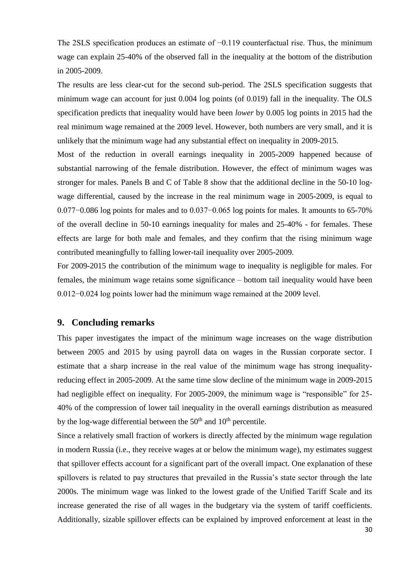The 2SLS specification produces an estimate of -0.119 counterfactual rise. Thus, the minimum wage can explain 25-40% of the observed fall in the inequality at the bottom of the distribution in 2005-2009.

The results are less clear-cut for the second sub-period. The 2SLS specification suggests that minimum wage can account for just 0.004 log points (of 0.019) fall in the inequality. The OLS specification predicts that inequality would have been *lower* by 0.005 log points in 2015 had the real minimum wage remained at the 2009 level. However, both numbers are very small, and it is unlikely that the minimum wage had any substantial effect on inequality in 2009-2015.

Most of the reduction in overall earnings inequality in 2005-2009 happened because of substantial narrowing of the female distribution. However, the effect of minimum wages was stronger for males. Panels B and C of Table 8 show that the additional decline in the 50-10 logwage differential, caused by the increase in the real minimum wage in 2005-2009, is equal to 0.077−0.086 log points for males and to 0.037−0.065 log points for males. It amounts to 65-70% of the overall decline in 50-10 earnings inequality for males and 25-40% - for females. These effects are large for both male and females, and they confirm that the rising minimum wage contributed meaningfully to falling lower-tail inequality over 2005-2009.

For 2009-2015 the contribution of the minimum wage to inequality is negligible for males. For females, the minimum wage retains some significance – bottom tail inequality would have been 0.012−0.024 log points lower had the minimum wage remained at the 2009 level.

#### **9. Concluding remarks**

This paper investigates the impact of the minimum wage increases on the wage distribution between 2005 and 2015 by using payroll data on wages in the Russian corporate sector. I estimate that a sharp increase in the real value of the minimum wage has strong inequalityreducing effect in 2005-2009. At the same time slow decline of the minimum wage in 2009-2015 had negligible effect on inequality. For 2005-2009, the minimum wage is "responsible" for 25- 40% of the compression of lower tail inequality in the overall earnings distribution as measured by the log-wage differential between the  $50<sup>th</sup>$  and  $10<sup>th</sup>$  percentile.

Since a relatively small fraction of workers is directly affected by the minimum wage regulation in modern Russia (i.e., they receive wages at or below the minimum wage), my estimates suggest that spillover effects account for a significant part of the overall impact. One explanation of these spillovers is related to pay structures that prevailed in the Russia's state sector through the late 2000s. The minimum wage was linked to the lowest grade of the Unified Tariff Scale and its increase generated the rise of all wages in the budgetary via the system of tariff coefficients. Additionally, sizable spillover effects can be explained by improved enforcement at least in the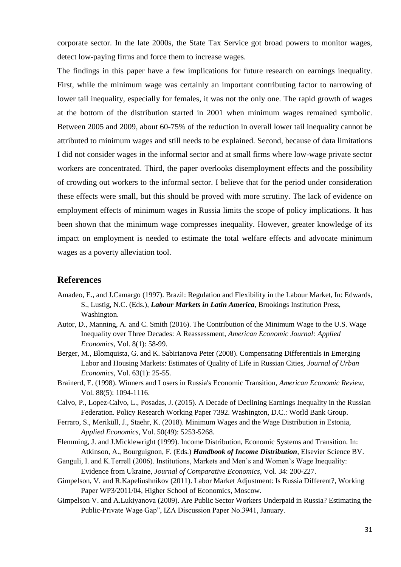corporate sector. In the late 2000s, the State Tax Service got broad powers to monitor wages, detect low-paying firms and force them to increase wages.

The findings in this paper have a few implications for future research on earnings inequality. First, while the minimum wage was certainly an important contributing factor to narrowing of lower tail inequality, especially for females, it was not the only one. The rapid growth of wages at the bottom of the distribution started in 2001 when minimum wages remained symbolic. Between 2005 and 2009, about 60-75% of the reduction in overall lower tail inequality cannot be attributed to minimum wages and still needs to be explained. Second, because of data limitations I did not consider wages in the informal sector and at small firms where low-wage private sector workers are concentrated. Third, the paper overlooks disemployment effects and the possibility of crowding out workers to the informal sector. I believe that for the period under consideration these effects were small, but this should be proved with more scrutiny. The lack of evidence on employment effects of minimum wages in Russia limits the scope of policy implications. It has been shown that the minimum wage compresses inequality. However, greater knowledge of its impact on employment is needed to estimate the total welfare effects and advocate minimum wages as a poverty alleviation tool.

#### **References**

- Amadeo, E., and J.Camargo (1997). Brazil: Regulation and Flexibility in the Labour Market, In: Edwards, S., Lustig, N.C. (Eds.), *Labour Markets in Latin America*, Brookings Institution Press, Washington.
- Autor, D., Manning, A. and C. Smith (2016). The Contribution of the Minimum Wage to the U.S. Wage Inequality over Three Decades: A Reassessment, *American Economic Journal: Applied Economics*, Vol. 8(1): 58-99.
- Berger, M., Blomquista, G. and K. Sabirianova Peter (2008). Compensating Differentials in Emerging Labor and Housing Markets: Estimates of Quality of Life in Russian Cities, *Journal of Urban Economics*, Vol. 63(1): 25-55.
- Brainerd, E. (1998). Winners and Losers in Russia's Economic Transition, *American Economic Review*, Vol. 88(5): 1094-1116.
- Calvo, P., Lopez-Calvo, L., Posadas, J. (2015). A Decade of Declining Earnings Inequality in the Russian Federation. Policy Research Working Paper 7392. Washington, D.C.: World Bank Group.
- Ferraro, S., Meriküll, J., Staehr, K. (2018). Minimum Wages and the Wage Distribution in Estonia, *Applied Economics*, Vol. 50(49): 5253-5268.
- Flemming, J. and J.Micklewright (1999). Income Distribution, Economic Systems and Transition. In: Atkinson, A., Bourguignon, F. (Eds.) *Handbook of Income Distribution*, Elsevier Science BV.
- Ganguli, I. and K.Terrell (2006). Institutions, Markets and Men's and Women's Wage Inequality: Evidence from Ukraine, *Journal of Comparative Economics*, Vol. 34: 200-227.
- Gimpelson, V. and R.Kapeliushnikov (2011). Labor Market Adjustment: Is Russia Different?, Working Paper WP3/2011/04, Higher School of Economics, Moscow.
- Gimpelson V. and A.Lukiyanova (2009). Are Public Sector Workers Underpaid in Russia? Estimating the Public-Private Wage Gap", IZA Discussion Paper No.3941, January.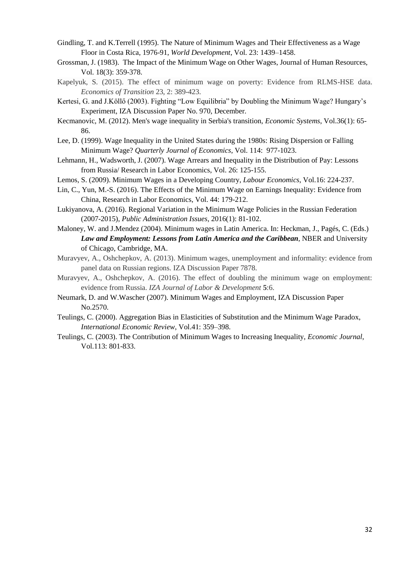- Gindling, T. and K.Terrell (1995). The Nature of Minimum Wages and Their Effectiveness as a Wage Floor in Costa Rica, 1976-91, *World Development*, Vol. 23: 1439–1458.
- Grossman, J. (1983). The Impact of the Minimum Wage on Other Wages, Journal of Human Resources, Vol. 18(3): 359-378.
- Kapelyuk, S. (2015). The effect of minimum wage on poverty: Evidence from RLMS-HSE data. *Economics of Transition* 23, 2: 389-423.
- Kertesi, G. and J.Köllő (2003). Fighting "Low Equilibria" by Doubling the Minimum Wage? Hungary's Experiment, IZA Discussion Paper No. 970, December.
- Kecmanovic, M. (2012). Men's wage inequality in Serbia's transition, *Economic Systems*, Vol.36(1): 65- 86.
- Lee, D. (1999). Wage Inequality in the United States during the 1980s: Rising Dispersion or Falling Minimum Wage? *Quarterly Journal of Economics*, Vol. 114: 977-1023.
- Lehmann, H., Wadsworth, J. (2007). Wage Arrears and Inequality in the Distribution of Pay: Lessons from Russia/ Research in Labor Economics, Vol. 26: 125-155.
- Lemos, S. (2009). Minimum Wages in a Developing Country, *Labour Economics*, Vol.16: 224-237.
- Lin, C., Yun, M.-S. (2016). The Effects of the Minimum Wage on Earnings Inequality: Evidence from China, Research in Labor Economics, Vol. 44: 179-212.
- Lukiyanova, A. (2016). Regional Variation in the Minimum Wage Policies in the Russian Federation (2007-2015), *Public Administration Issues*, 2016(1): 81-102.
- Maloney, W. and J.Mendez (2004). Minimum wages in Latin America. In: Heckman, J., Pagés, C. (Eds.) *Law and Employment: Lessons from Latin America and the Caribbean*, NBER and University of Chicago, Cambridge, MA.
- Muravyev, A., Oshchepkov, A. (2013). Minimum wages, unemployment and informality: evidence from panel data on Russian regions. IZA Discussion Paper 7878.
- Muravyev, A., Oshchepkov, A. (2016). The effect of doubling the minimum wage on employment: evidence from Russia. *IZA Journal of Labor & Development* **5**:6.
- Neumark, D. and W.Wascher (2007). Minimum Wages and Employment, IZA Discussion Paper No.2570.
- Teulings, C. (2000). Aggregation Bias in Elasticities of Substitution and the Minimum Wage Paradox, *International Economic Review*, Vol.41: 359–398.
- Teulings, C. (2003). The Contribution of Minimum Wages to Increasing Inequality, *Economic Journal*, Vol.113: 801-833.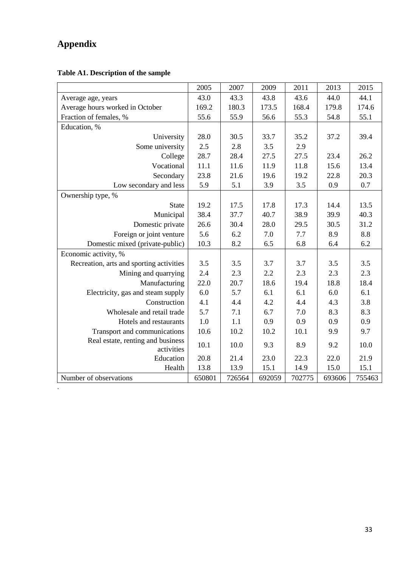## **Appendix**

.

### **Table A1. Description of the sample**

|                                                 | 2005   | 2007   | 2009   | 2011   | 2013   | 2015   |
|-------------------------------------------------|--------|--------|--------|--------|--------|--------|
| Average age, years                              | 43.0   | 43.3   | 43.8   | 43.6   | 44.0   | 44.1   |
| Average hours worked in October                 | 169.2  | 180.3  | 173.5  | 168.4  | 179.8  | 174.6  |
| Fraction of females, %                          | 55.6   | 55.9   | 56.6   | 55.3   | 54.8   | 55.1   |
| Education, %                                    |        |        |        |        |        |        |
| University                                      | 28.0   | 30.5   | 33.7   | 35.2   | 37.2   | 39.4   |
| Some university                                 | 2.5    | 2.8    | 3.5    | 2.9    |        |        |
| College                                         | 28.7   | 28.4   | 27.5   | 27.5   | 23.4   | 26.2   |
| Vocational                                      | 11.1   | 11.6   | 11.9   | 11.8   | 15.6   | 13.4   |
| Secondary                                       | 23.8   | 21.6   | 19.6   | 19.2   | 22.8   | 20.3   |
| Low secondary and less                          | 5.9    | 5.1    | 3.9    | 3.5    | 0.9    | 0.7    |
| Ownership type, %                               |        |        |        |        |        |        |
| <b>State</b>                                    | 19.2   | 17.5   | 17.8   | 17.3   | 14.4   | 13.5   |
| Municipal                                       | 38.4   | 37.7   | 40.7   | 38.9   | 39.9   | 40.3   |
| Domestic private                                | 26.6   | 30.4   | 28.0   | 29.5   | 30.5   | 31.2   |
| Foreign or joint venture                        | 5.6    | 6.2    | 7.0    | 7.7    | 8.9    | 8.8    |
| Domestic mixed (private-public)                 | 10.3   | 8.2    | 6.5    | 6.8    | 6.4    | 6.2    |
| Economic activity, %                            |        |        |        |        |        |        |
| Recreation, arts and sporting activities        | 3.5    | 3.5    | 3.7    | 3.7    | 3.5    | 3.5    |
| Mining and quarrying                            | 2.4    | 2.3    | 2.2    | 2.3    | 2.3    | 2.3    |
| Manufacturing                                   | 22.0   | 20.7   | 18.6   | 19.4   | 18.8   | 18.4   |
| Electricity, gas and steam supply               | 6.0    | 5.7    | 6.1    | 6.1    | 6.0    | 6.1    |
| Construction                                    | 4.1    | 4.4    | 4.2    | 4.4    | 4.3    | 3.8    |
| Wholesale and retail trade                      | 5.7    | 7.1    | 6.7    | 7.0    | 8.3    | 8.3    |
| Hotels and restaurants                          | 1.0    | 1.1    | 0.9    | 0.9    | 0.9    | 0.9    |
| Transport and communications                    | 10.6   | 10.2   | 10.2   | 10.1   | 9.9    | 9.7    |
| Real estate, renting and business<br>activities | 10.1   | 10.0   | 9.3    | 8.9    | 9.2    | 10.0   |
| Education                                       | 20.8   | 21.4   | 23.0   | 22.3   | 22.0   | 21.9   |
| Health                                          | 13.8   | 13.9   | 15.1   | 14.9   | 15.0   | 15.1   |
| Number of observations                          | 650801 | 726564 | 692059 | 702775 | 693606 | 755463 |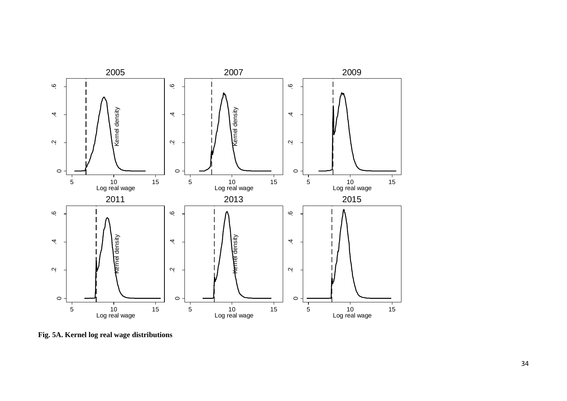

**Fig. 5A. Kernel log real wage distributions**